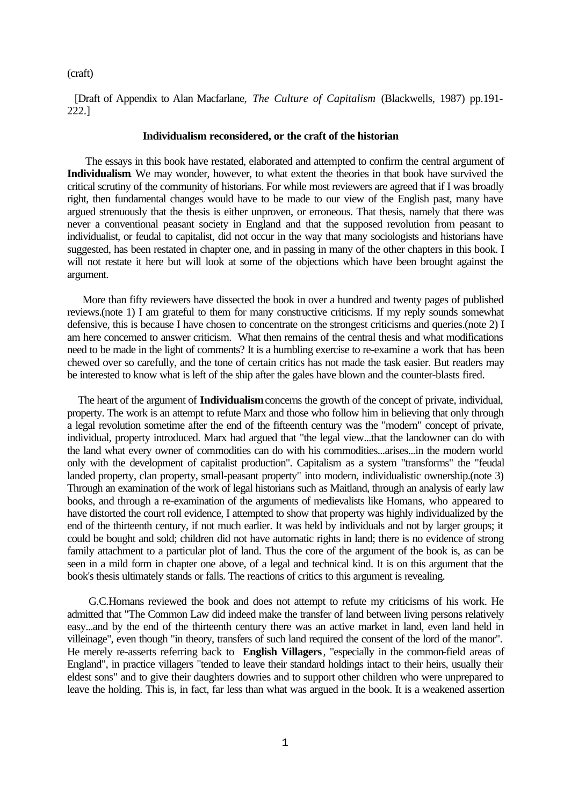### (craft)

 [Draft of Appendix to Alan Macfarlane, *The Culture of Capitalism* (Blackwells, 1987) pp.191- 222.]

#### **Individualism reconsidered, or the craft of the historian**

 The essays in this book have restated, elaborated and attempted to confirm the central argument of **Individualism**. We may wonder, however, to what extent the theories in that book have survived the critical scrutiny of the community of historians. For while most reviewers are agreed that if I was broadly right, then fundamental changes would have to be made to our view of the English past, many have argued strenuously that the thesis is either unproven, or erroneous. That thesis, namely that there was never a conventional peasant society in England and that the supposed revolution from peasant to individualist, or feudal to capitalist, did not occur in the way that many sociologists and historians have suggested, has been restated in chapter one, and in passing in many of the other chapters in this book. I will not restate it here but will look at some of the objections which have been brought against the argument.

 More than fifty reviewers have dissected the book in over a hundred and twenty pages of published reviews.(note 1) I am grateful to them for many constructive criticisms. If my reply sounds somewhat defensive, this is because I have chosen to concentrate on the strongest criticisms and queries.(note 2) I am here concerned to answer criticism. What then remains of the central thesis and what modifications need to be made in the light of comments? It is a humbling exercise to re-examine a work that has been chewed over so carefully, and the tone of certain critics has not made the task easier. But readers may be interested to know what is left of the ship after the gales have blown and the counter-blasts fired.

 The heart of the argument of **Individualism** concerns the growth of the concept of private, individual, property. The work is an attempt to refute Marx and those who follow him in believing that only through a legal revolution sometime after the end of the fifteenth century was the "modern" concept of private, individual, property introduced. Marx had argued that "the legal view...that the landowner can do with the land what every owner of commodities can do with his commodities...arises...in the modern world only with the development of capitalist production". Capitalism as a system "transforms" the "feudal landed property, clan property, small-peasant property" into modern, individualistic ownership.(note 3) Through an examination of the work of legal historians such as Maitland, through an analysis of early law books, and through a re-examination of the arguments of medievalists like Homans, who appeared to have distorted the court roll evidence, I attempted to show that property was highly individualized by the end of the thirteenth century, if not much earlier. It was held by individuals and not by larger groups; it could be bought and sold; children did not have automatic rights in land; there is no evidence of strong family attachment to a particular plot of land. Thus the core of the argument of the book is, as can be seen in a mild form in chapter one above, of a legal and technical kind. It is on this argument that the book's thesis ultimately stands or falls. The reactions of critics to this argument is revealing.

 G.C.Homans reviewed the book and does not attempt to refute my criticisms of his work. He admitted that "The Common Law did indeed make the transfer of land between living persons relatively easy...and by the end of the thirteenth century there was an active market in land, even land held in villeinage", even though "in theory, transfers of such land required the consent of the lord of the manor". He merely re-asserts referring back to **English Villagers**, "especially in the common-field areas of England", in practice villagers "tended to leave their standard holdings intact to their heirs, usually their eldest sons" and to give their daughters dowries and to support other children who were unprepared to leave the holding. This is, in fact, far less than what was argued in the book. It is a weakened assertion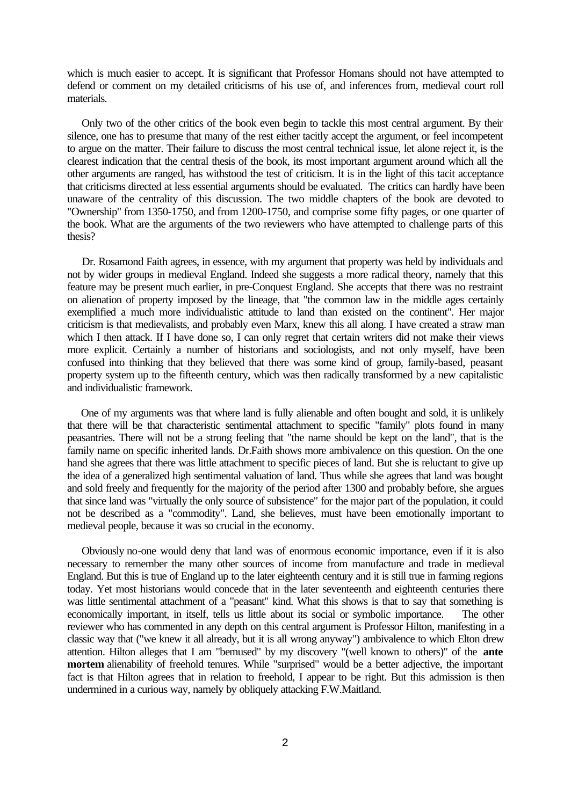which is much easier to accept. It is significant that Professor Homans should not have attempted to defend or comment on my detailed criticisms of his use of, and inferences from, medieval court roll materials.

 Only two of the other critics of the book even begin to tackle this most central argument. By their silence, one has to presume that many of the rest either tacitly accept the argument, or feel incompetent to argue on the matter. Their failure to discuss the most central technical issue, let alone reject it, is the clearest indication that the central thesis of the book, its most important argument around which all the other arguments are ranged, has withstood the test of criticism. It is in the light of this tacit acceptance that criticisms directed at less essential arguments should be evaluated. The critics can hardly have been unaware of the centrality of this discussion. The two middle chapters of the book are devoted to "Ownership" from 1350-1750, and from 1200-1750, and comprise some fifty pages, or one quarter of the book. What are the arguments of the two reviewers who have attempted to challenge parts of this thesis?

 Dr. Rosamond Faith agrees, in essence, with my argument that property was held by individuals and not by wider groups in medieval England. Indeed she suggests a more radical theory, namely that this feature may be present much earlier, in pre-Conquest England. She accepts that there was no restraint on alienation of property imposed by the lineage, that "the common law in the middle ages certainly exemplified a much more individualistic attitude to land than existed on the continent". Her major criticism is that medievalists, and probably even Marx, knew this all along. I have created a straw man which I then attack. If I have done so, I can only regret that certain writers did not make their views more explicit. Certainly a number of historians and sociologists, and not only myself, have been confused into thinking that they believed that there was some kind of group, family-based, peasant property system up to the fifteenth century, which was then radically transformed by a new capitalistic and individualistic framework.

 One of my arguments was that where land is fully alienable and often bought and sold, it is unlikely that there will be that characteristic sentimental attachment to specific "family" plots found in many peasantries. There will not be a strong feeling that "the name should be kept on the land", that is the family name on specific inherited lands. Dr.Faith shows more ambivalence on this question. On the one hand she agrees that there was little attachment to specific pieces of land. But she is reluctant to give up the idea of a generalized high sentimental valuation of land. Thus while she agrees that land was bought and sold freely and frequently for the majority of the period after 1300 and probably before, she argues that since land was "virtually the only source of subsistence" for the major part of the population, it could not be described as a "commodity". Land, she believes, must have been emotionally important to medieval people, because it was so crucial in the economy.

 Obviously no-one would deny that land was of enormous economic importance, even if it is also necessary to remember the many other sources of income from manufacture and trade in medieval England. But this is true of England up to the later eighteenth century and it is still true in farming regions today. Yet most historians would concede that in the later seventeenth and eighteenth centuries there was little sentimental attachment of a "peasant" kind. What this shows is that to say that something is economically important, in itself, tells us little about its social or symbolic importance. The other reviewer who has commented in any depth on this central argument is Professor Hilton, manifesting in a classic way that ("we knew it all already, but it is all wrong anyway") ambivalence to which Elton drew attention. Hilton alleges that I am "bemused" by my discovery "(well known to others)" of the **ante mortem** alienability of freehold tenures. While "surprised" would be a better adjective, the important fact is that Hilton agrees that in relation to freehold, I appear to be right. But this admission is then undermined in a curious way, namely by obliquely attacking F.W.Maitland.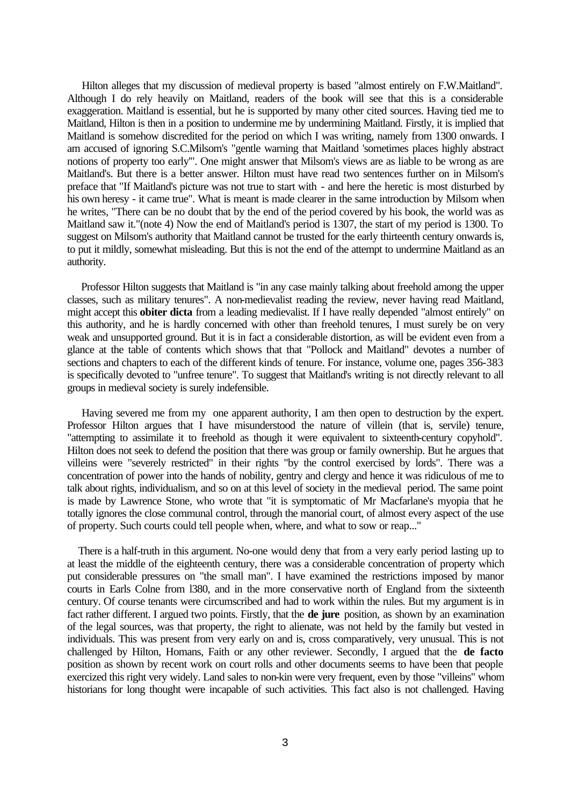Hilton alleges that my discussion of medieval property is based "almost entirely on F.W.Maitland". Although I do rely heavily on Maitland, readers of the book will see that this is a considerable exaggeration. Maitland is essential, but he is supported by many other cited sources. Having tied me to Maitland, Hilton is then in a position to undermine me by undermining Maitland. Firstly, it is implied that Maitland is somehow discredited for the period on which I was writing, namely from 1300 onwards. I am accused of ignoring S.C.Milsom's "gentle warning that Maitland 'sometimes places highly abstract notions of property too early'". One might answer that Milsom's views are as liable to be wrong as are Maitland's. But there is a better answer. Hilton must have read two sentences further on in Milsom's preface that "If Maitland's picture was not true to start with - and here the heretic is most disturbed by his own heresy - it came true". What is meant is made clearer in the same introduction by Milsom when he writes, "There can be no doubt that by the end of the period covered by his book, the world was as Maitland saw it."(note 4) Now the end of Maitland's period is 1307, the start of my period is 1300. To suggest on Milsom's authority that Maitland cannot be trusted for the early thirteenth century onwards is, to put it mildly, somewhat misleading. But this is not the end of the attempt to undermine Maitland as an authority.

 Professor Hilton suggests that Maitland is "in any case mainly talking about freehold among the upper classes, such as military tenures". A non-medievalist reading the review, never having read Maitland, might accept this **obiter dicta** from a leading medievalist. If I have really depended "almost entirely" on this authority, and he is hardly concerned with other than freehold tenures, I must surely be on very weak and unsupported ground. But it is in fact a considerable distortion, as will be evident even from a glance at the table of contents which shows that that "Pollock and Maitland" devotes a number of sections and chapters to each of the different kinds of tenure. For instance, volume one, pages 356-383 is specifically devoted to "unfree tenure". To suggest that Maitland's writing is not directly relevant to all groups in medieval society is surely indefensible.

 Having severed me from my one apparent authority, I am then open to destruction by the expert. Professor Hilton argues that I have misunderstood the nature of villein (that is, servile) tenure, "attempting to assimilate it to freehold as though it were equivalent to sixteenth-century copyhold". Hilton does not seek to defend the position that there was group or family ownership. But he argues that villeins were "severely restricted" in their rights "by the control exercised by lords". There was a concentration of power into the hands of nobility, gentry and clergy and hence it was ridiculous of me to talk about rights, individualism, and so on at this level of society in the medieval period. The same point is made by Lawrence Stone, who wrote that "it is symptomatic of Mr Macfarlane's myopia that he totally ignores the close communal control, through the manorial court, of almost every aspect of the use of property. Such courts could tell people when, where, and what to sow or reap..."

 There is a half-truth in this argument. No-one would deny that from a very early period lasting up to at least the middle of the eighteenth century, there was a considerable concentration of property which put considerable pressures on "the small man". I have examined the restrictions imposed by manor courts in Earls Colne from l380, and in the more conservative north of England from the sixteenth century. Of course tenants were circumscribed and had to work within the rules. But my argument is in fact rather different. I argued two points. Firstly, that the **de jure** position, as shown by an examination of the legal sources, was that property, the right to alienate, was not held by the family but vested in individuals. This was present from very early on and is, cross comparatively, very unusual. This is not challenged by Hilton, Homans, Faith or any other reviewer. Secondly, I argued that the **de facto** position as shown by recent work on court rolls and other documents seems to have been that people exercized this right very widely. Land sales to non-kin were very frequent, even by those "villeins" whom historians for long thought were incapable of such activities. This fact also is not challenged. Having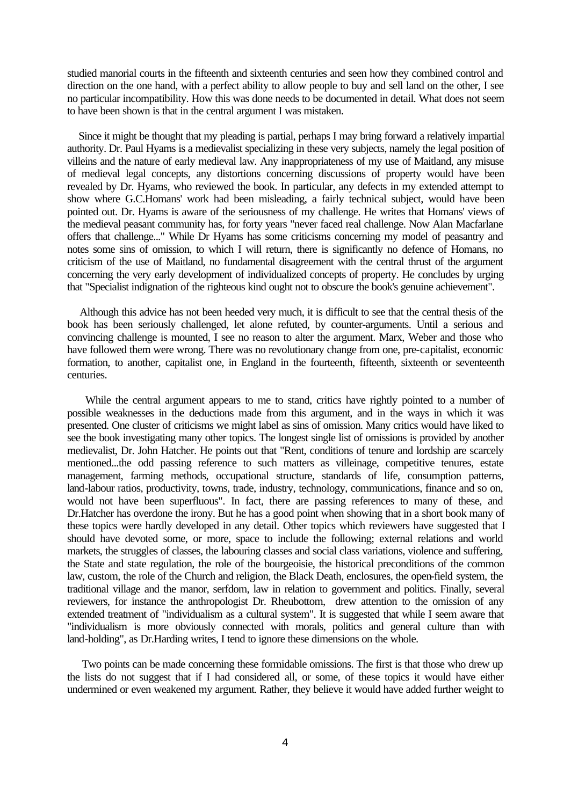studied manorial courts in the fifteenth and sixteenth centuries and seen how they combined control and direction on the one hand, with a perfect ability to allow people to buy and sell land on the other, I see no particular incompatibility. How this was done needs to be documented in detail. What does not seem to have been shown is that in the central argument I was mistaken.

 Since it might be thought that my pleading is partial, perhaps I may bring forward a relatively impartial authority. Dr. Paul Hyams is a medievalist specializing in these very subjects, namely the legal position of villeins and the nature of early medieval law. Any inappropriateness of my use of Maitland, any misuse of medieval legal concepts, any distortions concerning discussions of property would have been revealed by Dr. Hyams, who reviewed the book. In particular, any defects in my extended attempt to show where G.C.Homans' work had been misleading, a fairly technical subject, would have been pointed out. Dr. Hyams is aware of the seriousness of my challenge. He writes that Homans' views of the medieval peasant community has, for forty years "never faced real challenge. Now Alan Macfarlane offers that challenge..." While Dr Hyams has some criticisms concerning my model of peasantry and notes some sins of omission, to which I will return, there is significantly no defence of Homans, no criticism of the use of Maitland, no fundamental disagreement with the central thrust of the argument concerning the very early development of individualized concepts of property. He concludes by urging that "Specialist indignation of the righteous kind ought not to obscure the book's genuine achievement".

 Although this advice has not been heeded very much, it is difficult to see that the central thesis of the book has been seriously challenged, let alone refuted, by counter-arguments. Until a serious and convincing challenge is mounted, I see no reason to alter the argument. Marx, Weber and those who have followed them were wrong. There was no revolutionary change from one, pre-capitalist, economic formation, to another, capitalist one, in England in the fourteenth, fifteenth, sixteenth or seventeenth centuries.

 While the central argument appears to me to stand, critics have rightly pointed to a number of possible weaknesses in the deductions made from this argument, and in the ways in which it was presented. One cluster of criticisms we might label as sins of omission. Many critics would have liked to see the book investigating many other topics. The longest single list of omissions is provided by another medievalist, Dr. John Hatcher. He points out that "Rent, conditions of tenure and lordship are scarcely mentioned...the odd passing reference to such matters as villeinage, competitive tenures, estate management, farming methods, occupational structure, standards of life, consumption patterns, land-labour ratios, productivity, towns, trade, industry, technology, communications, finance and so on, would not have been superfluous". In fact, there are passing references to many of these, and Dr.Hatcher has overdone the irony. But he has a good point when showing that in a short book many of these topics were hardly developed in any detail. Other topics which reviewers have suggested that I should have devoted some, or more, space to include the following; external relations and world markets, the struggles of classes, the labouring classes and social class variations, violence and suffering, the State and state regulation, the role of the bourgeoisie, the historical preconditions of the common law, custom, the role of the Church and religion, the Black Death, enclosures, the open-field system, the traditional village and the manor, serfdom, law in relation to government and politics. Finally, several reviewers, for instance the anthropologist Dr. Rheubottom, drew attention to the omission of any extended treatment of "individualism as a cultural system". It is suggested that while I seem aware that "individualism is more obviously connected with morals, politics and general culture than with land-holding", as Dr.Harding writes, I tend to ignore these dimensions on the whole.

 Two points can be made concerning these formidable omissions. The first is that those who drew up the lists do not suggest that if I had considered all, or some, of these topics it would have either undermined or even weakened my argument. Rather, they believe it would have added further weight to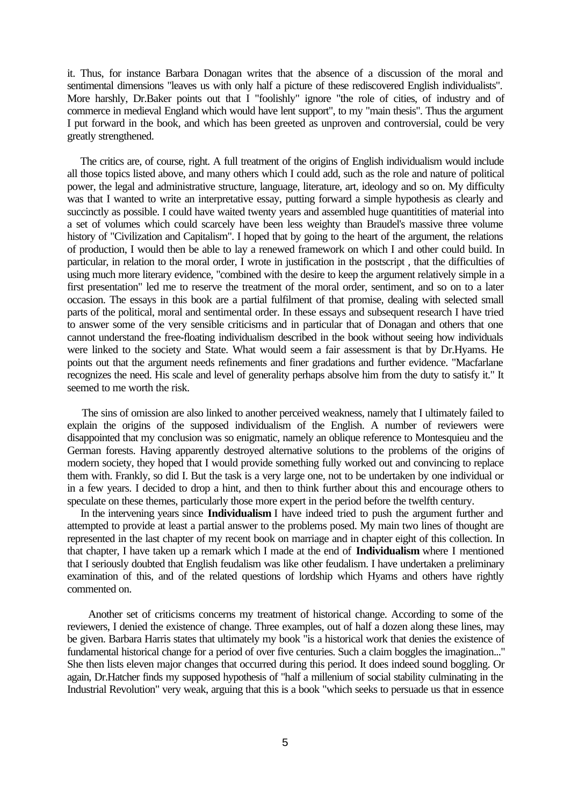it. Thus, for instance Barbara Donagan writes that the absence of a discussion of the moral and sentimental dimensions "leaves us with only half a picture of these rediscovered English individualists". More harshly, Dr.Baker points out that I "foolishly" ignore "the role of cities, of industry and of commerce in medieval England which would have lent support", to my "main thesis". Thus the argument I put forward in the book, and which has been greeted as unproven and controversial, could be very greatly strengthened.

 The critics are, of course, right. A full treatment of the origins of English individualism would include all those topics listed above, and many others which I could add, such as the role and nature of political power, the legal and administrative structure, language, literature, art, ideology and so on. My difficulty was that I wanted to write an interpretative essay, putting forward a simple hypothesis as clearly and succinctly as possible. I could have waited twenty years and assembled huge quantitities of material into a set of volumes which could scarcely have been less weighty than Braudel's massive three volume history of "Civilization and Capitalism". I hoped that by going to the heart of the argument, the relations of production, I would then be able to lay a renewed framework on which I and other could build. In particular, in relation to the moral order, I wrote in justification in the postscript , that the difficulties of using much more literary evidence, "combined with the desire to keep the argument relatively simple in a first presentation" led me to reserve the treatment of the moral order, sentiment, and so on to a later occasion. The essays in this book are a partial fulfilment of that promise, dealing with selected small parts of the political, moral and sentimental order. In these essays and subsequent research I have tried to answer some of the very sensible criticisms and in particular that of Donagan and others that one cannot understand the free-floating individualism described in the book without seeing how individuals were linked to the society and State. What would seem a fair assessment is that by Dr.Hyams. He points out that the argument needs refinements and finer gradations and further evidence. "Macfarlane recognizes the need. His scale and level of generality perhaps absolve him from the duty to satisfy it." It seemed to me worth the risk.

 The sins of omission are also linked to another perceived weakness, namely that I ultimately failed to explain the origins of the supposed individualism of the English. A number of reviewers were disappointed that my conclusion was so enigmatic, namely an oblique reference to Montesquieu and the German forests. Having apparently destroyed alternative solutions to the problems of the origins of modern society, they hoped that I would provide something fully worked out and convincing to replace them with. Frankly, so did I. But the task is a very large one, not to be undertaken by one individual or in a few years. I decided to drop a hint, and then to think further about this and encourage others to speculate on these themes, particularly those more expert in the period before the twelfth century.

 In the intervening years since **Individualism** I have indeed tried to push the argument further and attempted to provide at least a partial answer to the problems posed. My main two lines of thought are represented in the last chapter of my recent book on marriage and in chapter eight of this collection. In that chapter, I have taken up a remark which I made at the end of **Individualism** where I mentioned that I seriously doubted that English feudalism was like other feudalism. I have undertaken a preliminary examination of this, and of the related questions of lordship which Hyams and others have rightly commented on.

 Another set of criticisms concerns my treatment of historical change. According to some of the reviewers, I denied the existence of change. Three examples, out of half a dozen along these lines, may be given. Barbara Harris states that ultimately my book "is a historical work that denies the existence of fundamental historical change for a period of over five centuries. Such a claim boggles the imagination..." She then lists eleven major changes that occurred during this period. It does indeed sound boggling. Or again, Dr.Hatcher finds my supposed hypothesis of "half a millenium of social stability culminating in the Industrial Revolution" very weak, arguing that this is a book "which seeks to persuade us that in essence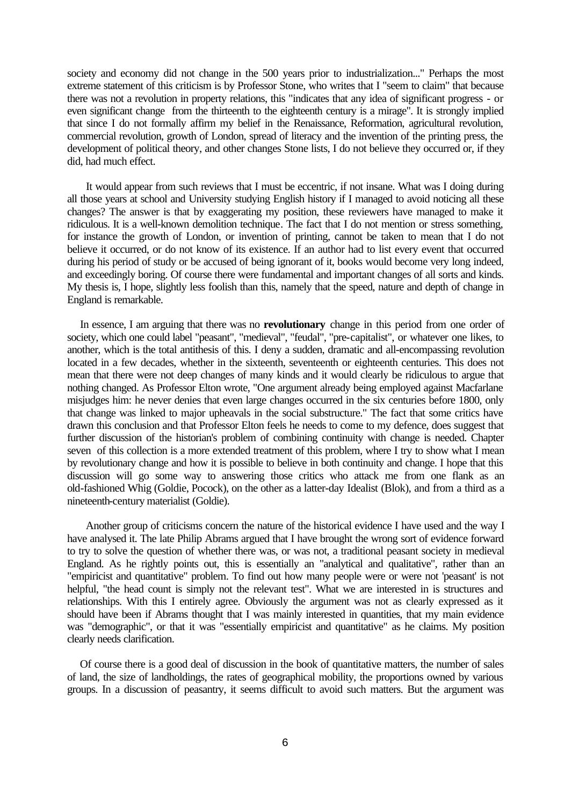society and economy did not change in the 500 years prior to industrialization..." Perhaps the most extreme statement of this criticism is by Professor Stone, who writes that I "seem to claim" that because there was not a revolution in property relations, this "indicates that any idea of significant progress - or even significant change from the thirteenth to the eighteenth century is a mirage". It is strongly implied that since I do not formally affirm my belief in the Renaissance, Reformation, agricultural revolution, commercial revolution, growth of London, spread of literacy and the invention of the printing press, the development of political theory, and other changes Stone lists, I do not believe they occurred or, if they did, had much effect.

 It would appear from such reviews that I must be eccentric, if not insane. What was I doing during all those years at school and University studying English history if I managed to avoid noticing all these changes? The answer is that by exaggerating my position, these reviewers have managed to make it ridiculous. It is a well-known demolition technique. The fact that I do not mention or stress something, for instance the growth of London, or invention of printing, cannot be taken to mean that I do not believe it occurred, or do not know of its existence. If an author had to list every event that occurred during his period of study or be accused of being ignorant of it, books would become very long indeed, and exceedingly boring. Of course there were fundamental and important changes of all sorts and kinds. My thesis is, I hope, slightly less foolish than this, namely that the speed, nature and depth of change in England is remarkable.

 In essence, I am arguing that there was no **revolutionary** change in this period from one order of society, which one could label "peasant", "medieval", "feudal", "pre-capitalist", or whatever one likes, to another, which is the total antithesis of this. I deny a sudden, dramatic and all-encompassing revolution located in a few decades, whether in the sixteenth, seventeenth or eighteenth centuries. This does not mean that there were not deep changes of many kinds and it would clearly be ridiculous to argue that nothing changed. As Professor Elton wrote, "One argument already being employed against Macfarlane misjudges him: he never denies that even large changes occurred in the six centuries before 1800, only that change was linked to major upheavals in the social substructure." The fact that some critics have drawn this conclusion and that Professor Elton feels he needs to come to my defence, does suggest that further discussion of the historian's problem of combining continuity with change is needed. Chapter seven of this collection is a more extended treatment of this problem, where I try to show what I mean by revolutionary change and how it is possible to believe in both continuity and change. I hope that this discussion will go some way to answering those critics who attack me from one flank as an old-fashioned Whig (Goldie, Pocock), on the other as a latter-day Idealist (Blok), and from a third as a nineteenth-century materialist (Goldie).

 Another group of criticisms concern the nature of the historical evidence I have used and the way I have analysed it. The late Philip Abrams argued that I have brought the wrong sort of evidence forward to try to solve the question of whether there was, or was not, a traditional peasant society in medieval England. As he rightly points out, this is essentially an "analytical and qualitative", rather than an "empiricist and quantitative" problem. To find out how many people were or were not 'peasant' is not helpful, "the head count is simply not the relevant test". What we are interested in is structures and relationships. With this I entirely agree. Obviously the argument was not as clearly expressed as it should have been if Abrams thought that I was mainly interested in quantities, that my main evidence was "demographic", or that it was "essentially empiricist and quantitative" as he claims. My position clearly needs clarification.

 Of course there is a good deal of discussion in the book of quantitative matters, the number of sales of land, the size of landholdings, the rates of geographical mobility, the proportions owned by various groups. In a discussion of peasantry, it seems difficult to avoid such matters. But the argument was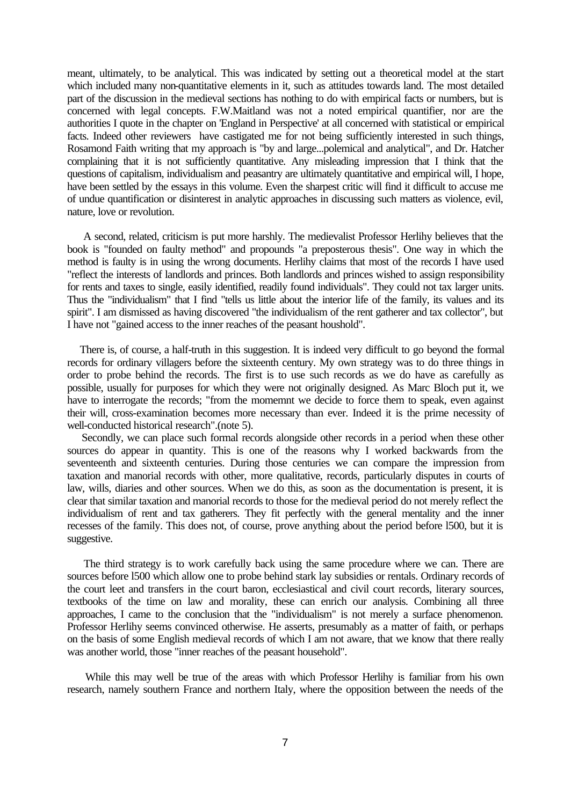meant, ultimately, to be analytical. This was indicated by setting out a theoretical model at the start which included many non-quantitative elements in it, such as attitudes towards land. The most detailed part of the discussion in the medieval sections has nothing to do with empirical facts or numbers, but is concerned with legal concepts. F.W.Maitland was not a noted empirical quantifier, nor are the authorities I quote in the chapter on 'England in Perspective' at all concerned with statistical or empirical facts. Indeed other reviewers have castigated me for not being sufficiently interested in such things, Rosamond Faith writing that my approach is "by and large...polemical and analytical", and Dr. Hatcher complaining that it is not sufficiently quantitative. Any misleading impression that I think that the questions of capitalism, individualism and peasantry are ultimately quantitative and empirical will, I hope, have been settled by the essays in this volume. Even the sharpest critic will find it difficult to accuse me of undue quantification or disinterest in analytic approaches in discussing such matters as violence, evil, nature, love or revolution.

 A second, related, criticism is put more harshly. The medievalist Professor Herlihy believes that the book is "founded on faulty method" and propounds "a preposterous thesis". One way in which the method is faulty is in using the wrong documents. Herlihy claims that most of the records I have used "reflect the interests of landlords and princes. Both landlords and princes wished to assign responsibility for rents and taxes to single, easily identified, readily found individuals". They could not tax larger units. Thus the "individualism" that I find "tells us little about the interior life of the family, its values and its spirit". I am dismissed as having discovered "the individualism of the rent gatherer and tax collector", but I have not "gained access to the inner reaches of the peasant houshold".

 There is, of course, a half-truth in this suggestion. It is indeed very difficult to go beyond the formal records for ordinary villagers before the sixteenth century. My own strategy was to do three things in order to probe behind the records. The first is to use such records as we do have as carefully as possible, usually for purposes for which they were not originally designed. As Marc Bloch put it, we have to interrogate the records; "from the momemnt we decide to force them to speak, even against their will, cross-examination becomes more necessary than ever. Indeed it is the prime necessity of well-conducted historical research".(note 5).

 Secondly, we can place such formal records alongside other records in a period when these other sources do appear in quantity. This is one of the reasons why I worked backwards from the seventeenth and sixteenth centuries. During those centuries we can compare the impression from taxation and manorial records with other, more qualitative, records, particularly disputes in courts of law, wills, diaries and other sources. When we do this, as soon as the documentation is present, it is clear that similar taxation and manorial records to those for the medieval period do not merely reflect the individualism of rent and tax gatherers. They fit perfectly with the general mentality and the inner recesses of the family. This does not, of course, prove anything about the period before l500, but it is suggestive.

 The third strategy is to work carefully back using the same procedure where we can. There are sources before l500 which allow one to probe behind stark lay subsidies or rentals. Ordinary records of the court leet and transfers in the court baron, ecclesiastical and civil court records, literary sources, textbooks of the time on law and morality, these can enrich our analysis. Combining all three approaches, I came to the conclusion that the "individualism" is not merely a surface phenomenon. Professor Herlihy seems convinced otherwise. He asserts, presumably as a matter of faith, or perhaps on the basis of some English medieval records of which I am not aware, that we know that there really was another world, those "inner reaches of the peasant household".

 While this may well be true of the areas with which Professor Herlihy is familiar from his own research, namely southern France and northern Italy, where the opposition between the needs of the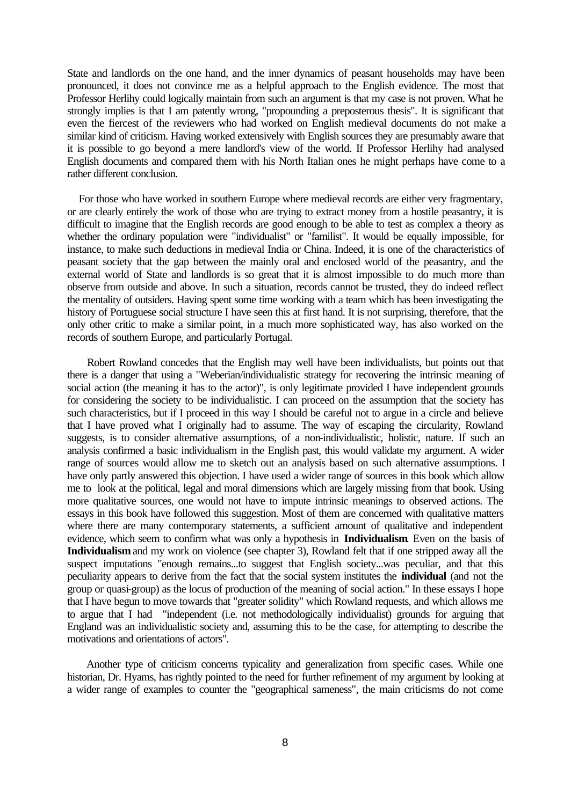State and landlords on the one hand, and the inner dynamics of peasant households may have been pronounced, it does not convince me as a helpful approach to the English evidence. The most that Professor Herlihy could logically maintain from such an argument is that my case is not proven. What he strongly implies is that I am patently wrong, "propounding a preposterous thesis". It is significant that even the fiercest of the reviewers who had worked on English medieval documents do not make a similar kind of criticism. Having worked extensively with English sources they are presumably aware that it is possible to go beyond a mere landlord's view of the world. If Professor Herlihy had analysed English documents and compared them with his North Italian ones he might perhaps have come to a rather different conclusion.

 For those who have worked in southern Europe where medieval records are either very fragmentary, or are clearly entirely the work of those who are trying to extract money from a hostile peasantry, it is difficult to imagine that the English records are good enough to be able to test as complex a theory as whether the ordinary population were "individualist" or "familist". It would be equally impossible, for instance, to make such deductions in medieval India or China. Indeed, it is one of the characteristics of peasant society that the gap between the mainly oral and enclosed world of the peasantry, and the external world of State and landlords is so great that it is almost impossible to do much more than observe from outside and above. In such a situation, records cannot be trusted, they do indeed reflect the mentality of outsiders. Having spent some time working with a team which has been investigating the history of Portuguese social structure I have seen this at first hand. It is not surprising, therefore, that the only other critic to make a similar point, in a much more sophisticated way, has also worked on the records of southern Europe, and particularly Portugal.

 Robert Rowland concedes that the English may well have been individualists, but points out that there is a danger that using a "Weberian/individualistic strategy for recovering the intrinsic meaning of social action (the meaning it has to the actor)", is only legitimate provided I have independent grounds for considering the society to be individualistic. I can proceed on the assumption that the society has such characteristics, but if I proceed in this way I should be careful not to argue in a circle and believe that I have proved what I originally had to assume. The way of escaping the circularity, Rowland suggests, is to consider alternative assumptions, of a non-individualistic, holistic, nature. If such an analysis confirmed a basic individualism in the English past, this would validate my argument. A wider range of sources would allow me to sketch out an analysis based on such alternative assumptions. I have only partly answered this objection. I have used a wider range of sources in this book which allow me to look at the political, legal and moral dimensions which are largely missing from that book. Using more qualitative sources, one would not have to impute intrinsic meanings to observed actions. The essays in this book have followed this suggestion. Most of them are concerned with qualitative matters where there are many contemporary statements, a sufficient amount of qualitative and independent evidence, which seem to confirm what was only a hypothesis in **Individualism**. Even on the basis of **Individualism** and my work on violence (see chapter 3), Rowland felt that if one stripped away all the suspect imputations "enough remains...to suggest that English society...was peculiar, and that this peculiarity appears to derive from the fact that the social system institutes the **individual** (and not the group or quasi-group) as the locus of production of the meaning of social action." In these essays I hope that I have begun to move towards that "greater solidity" which Rowland requests, and which allows me to argue that I had "independent (i.e. not methodologically individualist) grounds for arguing that England was an individualistic society and, assuming this to be the case, for attempting to describe the motivations and orientations of actors".

 Another type of criticism concerns typicality and generalization from specific cases. While one historian, Dr. Hyams, has rightly pointed to the need for further refinement of my argument by looking at a wider range of examples to counter the "geographical sameness", the main criticisms do not come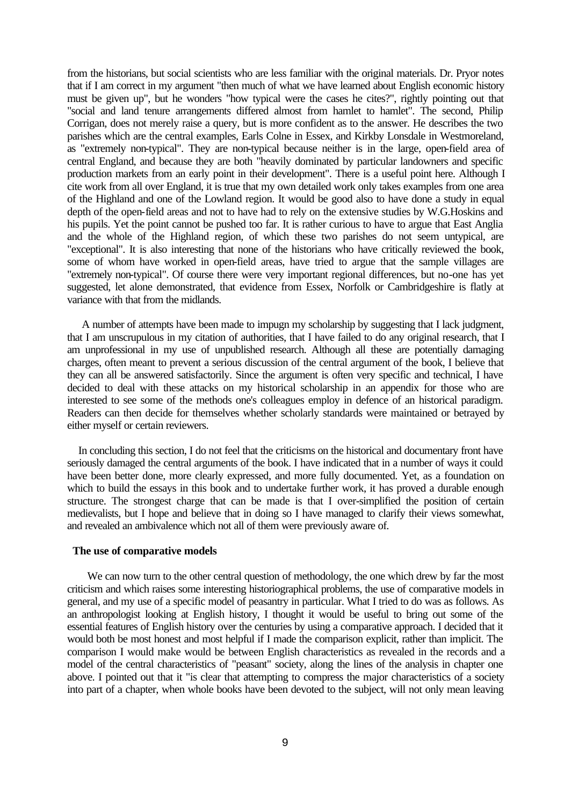from the historians, but social scientists who are less familiar with the original materials. Dr. Pryor notes that if I am correct in my argument "then much of what we have learned about English economic history must be given up", but he wonders "how typical were the cases he cites?", rightly pointing out that "social and land tenure arrangements differed almost from hamlet to hamlet". The second, Philip Corrigan, does not merely raise a query, but is more confident as to the answer. He describes the two parishes which are the central examples, Earls Colne in Essex, and Kirkby Lonsdale in Westmoreland, as "extremely non-typical". They are non-typical because neither is in the large, open-field area of central England, and because they are both "heavily dominated by particular landowners and specific production markets from an early point in their development". There is a useful point here. Although I cite work from all over England, it is true that my own detailed work only takes examples from one area of the Highland and one of the Lowland region. It would be good also to have done a study in equal depth of the open-field areas and not to have had to rely on the extensive studies by W.G.Hoskins and his pupils. Yet the point cannot be pushed too far. It is rather curious to have to argue that East Anglia and the whole of the Highland region, of which these two parishes do not seem untypical, are "exceptional". It is also interesting that none of the historians who have critically reviewed the book, some of whom have worked in open-field areas, have tried to argue that the sample villages are "extremely non-typical". Of course there were very important regional differences, but no-one has yet suggested, let alone demonstrated, that evidence from Essex, Norfolk or Cambridgeshire is flatly at variance with that from the midlands.

 A number of attempts have been made to impugn my scholarship by suggesting that I lack judgment, that I am unscrupulous in my citation of authorities, that I have failed to do any original research, that I am unprofessional in my use of unpublished research. Although all these are potentially damaging charges, often meant to prevent a serious discussion of the central argument of the book, I believe that they can all be answered satisfactorily. Since the argument is often very specific and technical, I have decided to deal with these attacks on my historical scholarship in an appendix for those who are interested to see some of the methods one's colleagues employ in defence of an historical paradigm. Readers can then decide for themselves whether scholarly standards were maintained or betrayed by either myself or certain reviewers.

 In concluding this section, I do not feel that the criticisms on the historical and documentary front have seriously damaged the central arguments of the book. I have indicated that in a number of ways it could have been better done, more clearly expressed, and more fully documented. Yet, as a foundation on which to build the essays in this book and to undertake further work, it has proved a durable enough structure. The strongest charge that can be made is that I over-simplified the position of certain medievalists, but I hope and believe that in doing so I have managed to clarify their views somewhat, and revealed an ambivalence which not all of them were previously aware of.

## **The use of comparative models**

 We can now turn to the other central question of methodology, the one which drew by far the most criticism and which raises some interesting historiographical problems, the use of comparative models in general, and my use of a specific model of peasantry in particular. What I tried to do was as follows. As an anthropologist looking at English history, I thought it would be useful to bring out some of the essential features of English history over the centuries by using a comparative approach. I decided that it would both be most honest and most helpful if I made the comparison explicit, rather than implicit. The comparison I would make would be between English characteristics as revealed in the records and a model of the central characteristics of "peasant" society, along the lines of the analysis in chapter one above. I pointed out that it "is clear that attempting to compress the major characteristics of a society into part of a chapter, when whole books have been devoted to the subject, will not only mean leaving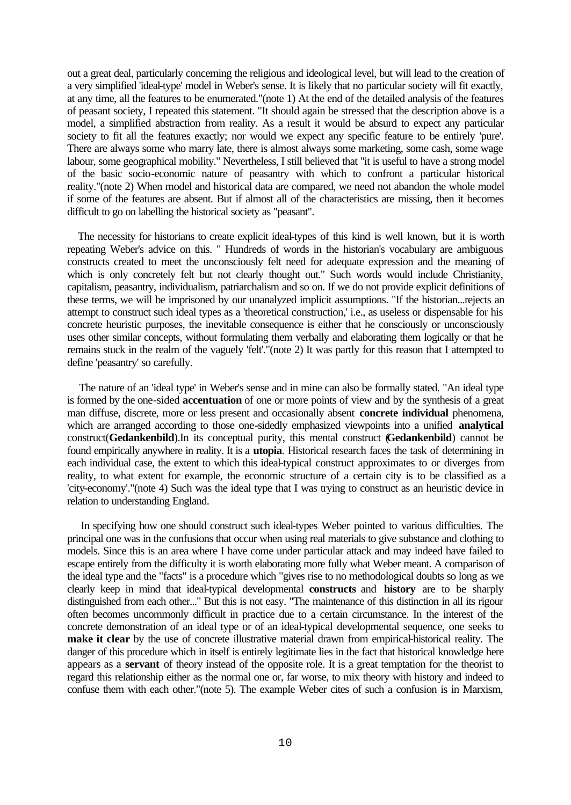out a great deal, particularly concerning the religious and ideological level, but will lead to the creation of a very simplified 'ideal-type' model in Weber's sense. It is likely that no particular society will fit exactly, at any time, all the features to be enumerated."(note 1) At the end of the detailed analysis of the features of peasant society, I repeated this statement. "It should again be stressed that the description above is a model, a simplified abstraction from reality. As a result it would be absurd to expect any particular society to fit all the features exactly; nor would we expect any specific feature to be entirely 'pure'. There are always some who marry late, there is almost always some marketing, some cash, some wage labour, some geographical mobility." Nevertheless, I still believed that "it is useful to have a strong model of the basic socio-economic nature of peasantry with which to confront a particular historical reality."(note 2) When model and historical data are compared, we need not abandon the whole model if some of the features are absent. But if almost all of the characteristics are missing, then it becomes difficult to go on labelling the historical society as "peasant".

 The necessity for historians to create explicit ideal-types of this kind is well known, but it is worth repeating Weber's advice on this. " Hundreds of words in the historian's vocabulary are ambiguous constructs created to meet the unconsciously felt need for adequate expression and the meaning of which is only concretely felt but not clearly thought out." Such words would include Christianity, capitalism, peasantry, individualism, patriarchalism and so on. If we do not provide explicit definitions of these terms, we will be imprisoned by our unanalyzed implicit assumptions. "If the historian...rejects an attempt to construct such ideal types as a 'theoretical construction,' i.e., as useless or dispensable for his concrete heuristic purposes, the inevitable consequence is either that he consciously or unconsciously uses other similar concepts, without formulating them verbally and elaborating them logically or that he remains stuck in the realm of the vaguely 'felt'."(note 2) It was partly for this reason that I attempted to define 'peasantry' so carefully.

 The nature of an 'ideal type' in Weber's sense and in mine can also be formally stated. "An ideal type is formed by the one-sided **accentuation** of one or more points of view and by the synthesis of a great man diffuse, discrete, more or less present and occasionally absent **concrete individual** phenomena, which are arranged according to those one-sidedly emphasized viewpoints into a unified **analytical** construct(**Gedankenbild**).In its conceptual purity, this mental construct (**Gedankenbild**) cannot be found empirically anywhere in reality. It is a **utopia**. Historical research faces the task of determining in each individual case, the extent to which this ideal-typical construct approximates to or diverges from reality, to what extent for example, the economic structure of a certain city is to be classified as a 'city-economy'."(note 4) Such was the ideal type that I was trying to construct as an heuristic device in relation to understanding England.

 In specifying how one should construct such ideal-types Weber pointed to various difficulties. The principal one was in the confusions that occur when using real materials to give substance and clothing to models. Since this is an area where I have come under particular attack and may indeed have failed to escape entirely from the difficulty it is worth elaborating more fully what Weber meant. A comparison of the ideal type and the "facts" is a procedure which "gives rise to no methodological doubts so long as we clearly keep in mind that ideal-typical developmental **constructs** and **history** are to be sharply distinguished from each other..." But this is not easy. "The maintenance of this distinction in all its rigour often becomes uncommonly difficult in practice due to a certain circumstance. In the interest of the concrete demonstration of an ideal type or of an ideal-typical developmental sequence, one seeks to **make it clear** by the use of concrete illustrative material drawn from empirical-historical reality. The danger of this procedure which in itself is entirely legitimate lies in the fact that historical knowledge here appears as a **servant** of theory instead of the opposite role. It is a great temptation for the theorist to regard this relationship either as the normal one or, far worse, to mix theory with history and indeed to confuse them with each other."(note 5). The example Weber cites of such a confusion is in Marxism,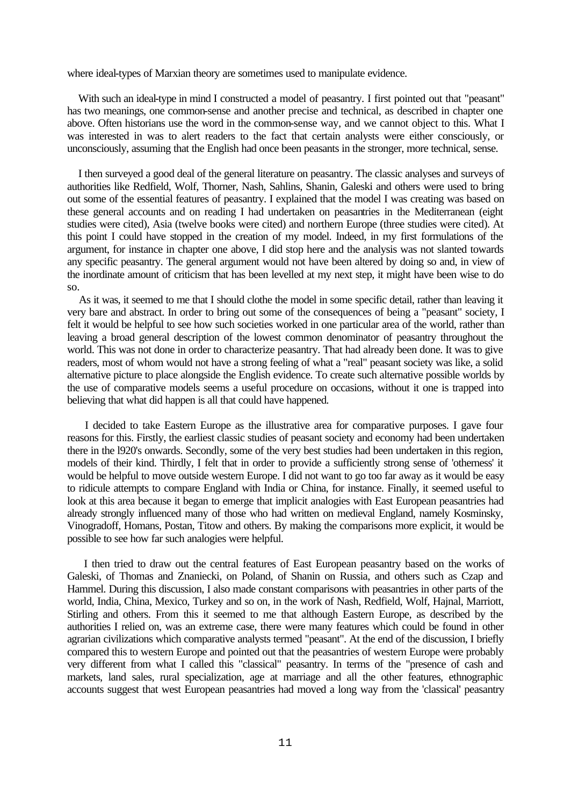where ideal-types of Marxian theory are sometimes used to manipulate evidence.

 With such an ideal-type in mind I constructed a model of peasantry. I first pointed out that "peasant" has two meanings, one common-sense and another precise and technical, as described in chapter one above. Often historians use the word in the common-sense way, and we cannot object to this. What I was interested in was to alert readers to the fact that certain analysts were either consciously, or unconsciously, assuming that the English had once been peasants in the stronger, more technical, sense.

 I then surveyed a good deal of the general literature on peasantry. The classic analyses and surveys of authorities like Redfield, Wolf, Thorner, Nash, Sahlins, Shanin, Galeski and others were used to bring out some of the essential features of peasantry. I explained that the model I was creating was based on these general accounts and on reading I had undertaken on peasantries in the Mediterranean (eight studies were cited), Asia (twelve books were cited) and northern Europe (three studies were cited). At this point I could have stopped in the creation of my model. Indeed, in my first formulations of the argument, for instance in chapter one above, I did stop here and the analysis was not slanted towards any specific peasantry. The general argument would not have been altered by doing so and, in view of the inordinate amount of criticism that has been levelled at my next step, it might have been wise to do so.

 As it was, it seemed to me that I should clothe the model in some specific detail, rather than leaving it very bare and abstract. In order to bring out some of the consequences of being a "peasant" society, I felt it would be helpful to see how such societies worked in one particular area of the world, rather than leaving a broad general description of the lowest common denominator of peasantry throughout the world. This was not done in order to characterize peasantry. That had already been done. It was to give readers, most of whom would not have a strong feeling of what a "real" peasant society was like, a solid alternative picture to place alongside the English evidence. To create such alternative possible worlds by the use of comparative models seems a useful procedure on occasions, without it one is trapped into believing that what did happen is all that could have happened.

 I decided to take Eastern Europe as the illustrative area for comparative purposes. I gave four reasons for this. Firstly, the earliest classic studies of peasant society and economy had been undertaken there in the l920's onwards. Secondly, some of the very best studies had been undertaken in this region, models of their kind. Thirdly, I felt that in order to provide a sufficiently strong sense of 'otherness' it would be helpful to move outside western Europe. I did not want to go too far away as it would be easy to ridicule attempts to compare England with India or China, for instance. Finally, it seemed useful to look at this area because it began to emerge that implicit analogies with East European peasantries had already strongly influenced many of those who had written on medieval England, namely Kosminsky, Vinogradoff, Homans, Postan, Titow and others. By making the comparisons more explicit, it would be possible to see how far such analogies were helpful.

 I then tried to draw out the central features of East European peasantry based on the works of Galeski, of Thomas and Znaniecki, on Poland, of Shanin on Russia, and others such as Czap and Hammel. During this discussion, I also made constant comparisons with peasantries in other parts of the world, India, China, Mexico, Turkey and so on, in the work of Nash, Redfield, Wolf, Hajnal, Marriott, Stirling and others. From this it seemed to me that although Eastern Europe, as described by the authorities I relied on, was an extreme case, there were many features which could be found in other agrarian civilizations which comparative analysts termed "peasant". At the end of the discussion, I briefly compared this to western Europe and pointed out that the peasantries of western Europe were probably very different from what I called this "classical" peasantry. In terms of the "presence of cash and markets, land sales, rural specialization, age at marriage and all the other features, ethnographic accounts suggest that west European peasantries had moved a long way from the 'classical' peasantry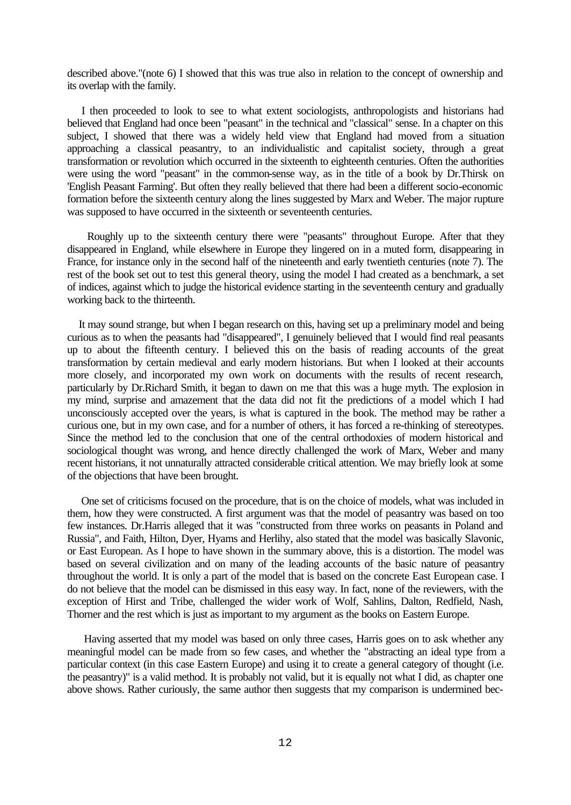described above."(note 6) I showed that this was true also in relation to the concept of ownership and its overlap with the family.

 I then proceeded to look to see to what extent sociologists, anthropologists and historians had believed that England had once been "peasant" in the technical and "classical" sense. In a chapter on this subject, I showed that there was a widely held view that England had moved from a situation approaching a classical peasantry, to an individualistic and capitalist society, through a great transformation or revolution which occurred in the sixteenth to eighteenth centuries. Often the authorities were using the word "peasant" in the common-sense way, as in the title of a book by Dr.Thirsk on 'English Peasant Farming'. But often they really believed that there had been a different socio-economic formation before the sixteenth century along the lines suggested by Marx and Weber. The major rupture was supposed to have occurred in the sixteenth or seventeenth centuries.

 Roughly up to the sixteenth century there were "peasants" throughout Europe. After that they disappeared in England, while elsewhere in Europe they lingered on in a muted form, disappearing in France, for instance only in the second half of the nineteenth and early twentieth centuries (note 7). The rest of the book set out to test this general theory, using the model I had created as a benchmark, a set of indices, against which to judge the historical evidence starting in the seventeenth century and gradually working back to the thirteenth.

 It may sound strange, but when I began research on this, having set up a preliminary model and being curious as to when the peasants had "disappeared", I genuinely believed that I would find real peasants up to about the fifteenth century. I believed this on the basis of reading accounts of the great transformation by certain medieval and early modern historians. But when I looked at their accounts more closely, and incorporated my own work on documents with the results of recent research, particularly by Dr.Richard Smith, it began to dawn on me that this was a huge myth. The explosion in my mind, surprise and amazement that the data did not fit the predictions of a model which I had unconsciously accepted over the years, is what is captured in the book. The method may be rather a curious one, but in my own case, and for a number of others, it has forced a re-thinking of stereotypes. Since the method led to the conclusion that one of the central orthodoxies of modern historical and sociological thought was wrong, and hence directly challenged the work of Marx, Weber and many recent historians, it not unnaturally attracted considerable critical attention. We may briefly look at some of the objections that have been brought.

 One set of criticisms focused on the procedure, that is on the choice of models, what was included in them, how they were constructed. A first argument was that the model of peasantry was based on too few instances. Dr.Harris alleged that it was "constructed from three works on peasants in Poland and Russia", and Faith, Hilton, Dyer, Hyams and Herlihy, also stated that the model was basically Slavonic, or East European. As I hope to have shown in the summary above, this is a distortion. The model was based on several civilization and on many of the leading accounts of the basic nature of peasantry throughout the world. It is only a part of the model that is based on the concrete East European case. I do not believe that the model can be dismissed in this easy way. In fact, none of the reviewers, with the exception of Hirst and Tribe, challenged the wider work of Wolf, Sahlins, Dalton, Redfield, Nash, Thorner and the rest which is just as important to my argument as the books on Eastern Europe.

 Having asserted that my model was based on only three cases, Harris goes on to ask whether any meaningful model can be made from so few cases, and whether the "abstracting an ideal type from a particular context (in this case Eastern Europe) and using it to create a general category of thought (i.e. the peasantry)" is a valid method. It is probably not valid, but it is equally not what I did, as chapter one above shows. Rather curiously, the same author then suggests that my comparison is undermined bec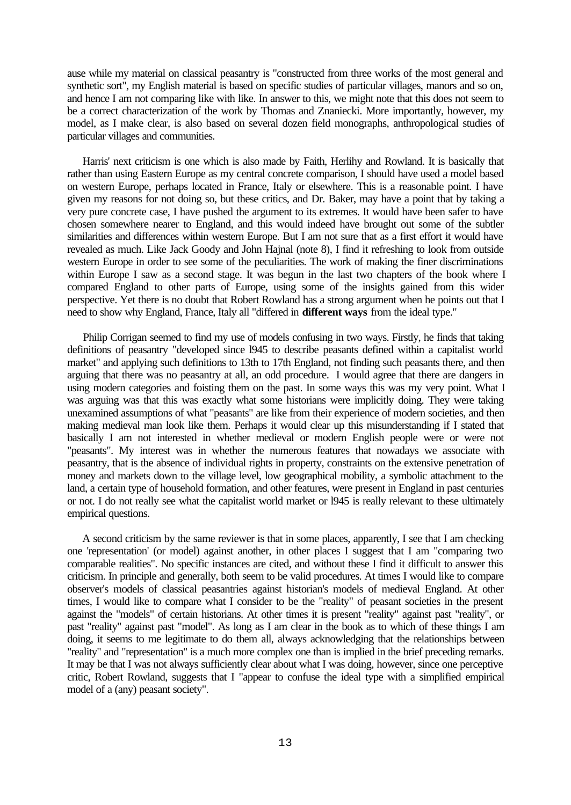ause while my material on classical peasantry is "constructed from three works of the most general and synthetic sort", my English material is based on specific studies of particular villages, manors and so on, and hence I am not comparing like with like. In answer to this, we might note that this does not seem to be a correct characterization of the work by Thomas and Znaniecki. More importantly, however, my model, as I make clear, is also based on several dozen field monographs, anthropological studies of particular villages and communities.

 Harris' next criticism is one which is also made by Faith, Herlihy and Rowland. It is basically that rather than using Eastern Europe as my central concrete comparison, I should have used a model based on western Europe, perhaps located in France, Italy or elsewhere. This is a reasonable point. I have given my reasons for not doing so, but these critics, and Dr. Baker, may have a point that by taking a very pure concrete case, I have pushed the argument to its extremes. It would have been safer to have chosen somewhere nearer to England, and this would indeed have brought out some of the subtler similarities and differences within western Europe. But I am not sure that as a first effort it would have revealed as much. Like Jack Goody and John Hajnal (note 8), I find it refreshing to look from outside western Europe in order to see some of the peculiarities. The work of making the finer discriminations within Europe I saw as a second stage. It was begun in the last two chapters of the book where I compared England to other parts of Europe, using some of the insights gained from this wider perspective. Yet there is no doubt that Robert Rowland has a strong argument when he points out that I need to show why England, France, Italy all "differed in **different ways** from the ideal type."

 Philip Corrigan seemed to find my use of models confusing in two ways. Firstly, he finds that taking definitions of peasantry "developed since l945 to describe peasants defined within a capitalist world market" and applying such definitions to 13th to 17th England, not finding such peasants there, and then arguing that there was no peasantry at all, an odd procedure. I would agree that there are dangers in using modern categories and foisting them on the past. In some ways this was my very point. What I was arguing was that this was exactly what some historians were implicitly doing. They were taking unexamined assumptions of what "peasants" are like from their experience of modern societies, and then making medieval man look like them. Perhaps it would clear up this misunderstanding if I stated that basically I am not interested in whether medieval or modern English people were or were not "peasants". My interest was in whether the numerous features that nowadays we associate with peasantry, that is the absence of individual rights in property, constraints on the extensive penetration of money and markets down to the village level, low geographical mobility, a symbolic attachment to the land, a certain type of household formation, and other features, were present in England in past centuries or not. I do not really see what the capitalist world market or l945 is really relevant to these ultimately empirical questions.

 A second criticism by the same reviewer is that in some places, apparently, I see that I am checking one 'representation' (or model) against another, in other places I suggest that I am "comparing two comparable realities". No specific instances are cited, and without these I find it difficult to answer this criticism. In principle and generally, both seem to be valid procedures. At times I would like to compare observer's models of classical peasantries against historian's models of medieval England. At other times, I would like to compare what I consider to be the "reality" of peasant societies in the present against the "models" of certain historians. At other times it is present "reality" against past "reality", or past "reality" against past "model". As long as I am clear in the book as to which of these things I am doing, it seems to me legitimate to do them all, always acknowledging that the relationships between "reality" and "representation" is a much more complex one than is implied in the brief preceding remarks. It may be that I was not always sufficiently clear about what I was doing, however, since one perceptive critic, Robert Rowland, suggests that I "appear to confuse the ideal type with a simplified empirical model of a (any) peasant society".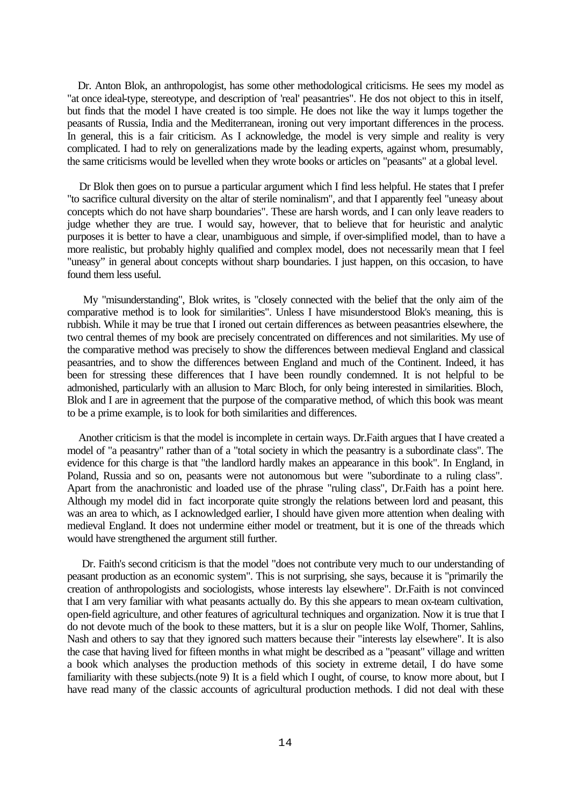Dr. Anton Blok, an anthropologist, has some other methodological criticisms. He sees my model as "at once ideal-type, stereotype, and description of 'real' peasantries". He dos not object to this in itself, but finds that the model I have created is too simple. He does not like the way it lumps together the peasants of Russia, India and the Mediterranean, ironing out very important differences in the process. In general, this is a fair criticism. As I acknowledge, the model is very simple and reality is very complicated. I had to rely on generalizations made by the leading experts, against whom, presumably, the same criticisms would be levelled when they wrote books or articles on "peasants" at a global level.

 Dr Blok then goes on to pursue a particular argument which I find less helpful. He states that I prefer "to sacrifice cultural diversity on the altar of sterile nominalism", and that I apparently feel "uneasy about concepts which do not have sharp boundaries". These are harsh words, and I can only leave readers to judge whether they are true. I would say, however, that to believe that for heuristic and analytic purposes it is better to have a clear, unambiguous and simple, if over-simplified model, than to have a more realistic, but probably highly qualified and complex model, does not necessarily mean that I feel "uneasy" in general about concepts without sharp boundaries. I just happen, on this occasion, to have found them less useful.

 My "misunderstanding", Blok writes, is "closely connected with the belief that the only aim of the comparative method is to look for similarities". Unless I have misunderstood Blok's meaning, this is rubbish. While it may be true that I ironed out certain differences as between peasantries elsewhere, the two central themes of my book are precisely concentrated on differences and not similarities. My use of the comparative method was precisely to show the differences between medieval England and classical peasantries, and to show the differences between England and much of the Continent. Indeed, it has been for stressing these differences that I have been roundly condemned. It is not helpful to be admonished, particularly with an allusion to Marc Bloch, for only being interested in similarities. Bloch, Blok and I are in agreement that the purpose of the comparative method, of which this book was meant to be a prime example, is to look for both similarities and differences.

 Another criticism is that the model is incomplete in certain ways. Dr.Faith argues that I have created a model of "a peasantry" rather than of a "total society in which the peasantry is a subordinate class". The evidence for this charge is that "the landlord hardly makes an appearance in this book". In England, in Poland, Russia and so on, peasants were not autonomous but were "subordinate to a ruling class". Apart from the anachronistic and loaded use of the phrase "ruling class", Dr.Faith has a point here. Although my model did in fact incorporate quite strongly the relations between lord and peasant, this was an area to which, as I acknowledged earlier, I should have given more attention when dealing with medieval England. It does not undermine either model or treatment, but it is one of the threads which would have strengthened the argument still further.

 Dr. Faith's second criticism is that the model "does not contribute very much to our understanding of peasant production as an economic system". This is not surprising, she says, because it is "primarily the creation of anthropologists and sociologists, whose interests lay elsewhere". Dr.Faith is not convinced that I am very familiar with what peasants actually do. By this she appears to mean ox-team cultivation, open-field agriculture, and other features of agricultural techniques and organization. Now it is true that I do not devote much of the book to these matters, but it is a slur on people like Wolf, Thorner, Sahlins, Nash and others to say that they ignored such matters because their "interests lay elsewhere". It is also the case that having lived for fifteen months in what might be described as a "peasant" village and written a book which analyses the production methods of this society in extreme detail, I do have some familiarity with these subjects.(note 9) It is a field which I ought, of course, to know more about, but I have read many of the classic accounts of agricultural production methods. I did not deal with these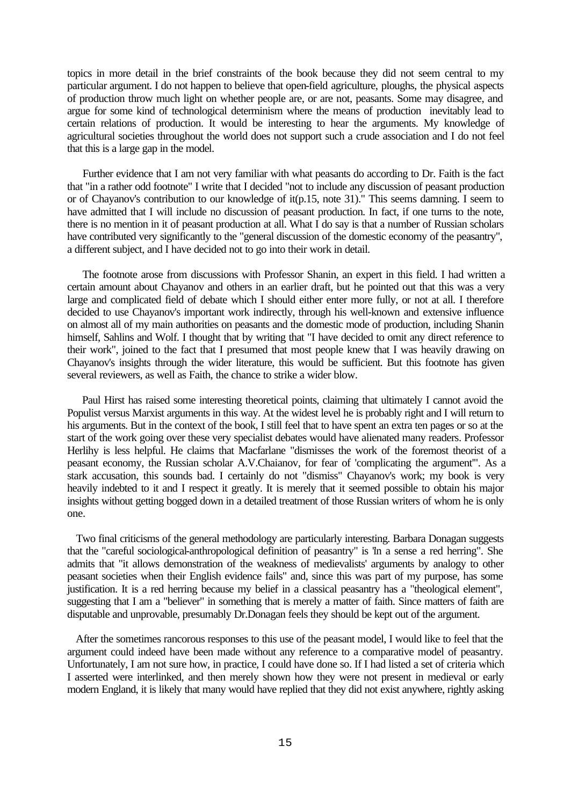topics in more detail in the brief constraints of the book because they did not seem central to my particular argument. I do not happen to believe that open-field agriculture, ploughs, the physical aspects of production throw much light on whether people are, or are not, peasants. Some may disagree, and argue for some kind of technological determinism where the means of production inevitably lead to certain relations of production. It would be interesting to hear the arguments. My knowledge of agricultural societies throughout the world does not support such a crude association and I do not feel that this is a large gap in the model.

 Further evidence that I am not very familiar with what peasants do according to Dr. Faith is the fact that "in a rather odd footnote" I write that I decided "not to include any discussion of peasant production or of Chayanov's contribution to our knowledge of it(p.15, note 31)." This seems damning. I seem to have admitted that I will include no discussion of peasant production. In fact, if one turns to the note, there is no mention in it of peasant production at all. What I do say is that a number of Russian scholars have contributed very significantly to the "general discussion of the domestic economy of the peasantry", a different subject, and I have decided not to go into their work in detail.

 The footnote arose from discussions with Professor Shanin, an expert in this field. I had written a certain amount about Chayanov and others in an earlier draft, but he pointed out that this was a very large and complicated field of debate which I should either enter more fully, or not at all. I therefore decided to use Chayanov's important work indirectly, through his well-known and extensive influence on almost all of my main authorities on peasants and the domestic mode of production, including Shanin himself, Sahlins and Wolf. I thought that by writing that "I have decided to omit any direct reference to their work", joined to the fact that I presumed that most people knew that I was heavily drawing on Chayanov's insights through the wider literature, this would be sufficient. But this footnote has given several reviewers, as well as Faith, the chance to strike a wider blow.

 Paul Hirst has raised some interesting theoretical points, claiming that ultimately I cannot avoid the Populist versus Marxist arguments in this way. At the widest level he is probably right and I will return to his arguments. But in the context of the book, I still feel that to have spent an extra ten pages or so at the start of the work going over these very specialist debates would have alienated many readers. Professor Herlihy is less helpful. He claims that Macfarlane "dismisses the work of the foremost theorist of a peasant economy, the Russian scholar A.V.Chaianov, for fear of 'complicating the argument'". As a stark accusation, this sounds bad. I certainly do not "dismiss" Chayanov's work; my book is very heavily indebted to it and I respect it greatly. It is merely that it seemed possible to obtain his major insights without getting bogged down in a detailed treatment of those Russian writers of whom he is only one.

 Two final criticisms of the general methodology are particularly interesting. Barbara Donagan suggests that the "careful sociological-anthropological definition of peasantry" is "in a sense a red herring". She admits that "it allows demonstration of the weakness of medievalists' arguments by analogy to other peasant societies when their English evidence fails" and, since this was part of my purpose, has some justification. It is a red herring because my belief in a classical peasantry has a "theological element", suggesting that I am a "believer" in something that is merely a matter of faith. Since matters of faith are disputable and unprovable, presumably Dr.Donagan feels they should be kept out of the argument.

 After the sometimes rancorous responses to this use of the peasant model, I would like to feel that the argument could indeed have been made without any reference to a comparative model of peasantry. Unfortunately, I am not sure how, in practice, I could have done so. If I had listed a set of criteria which I asserted were interlinked, and then merely shown how they were not present in medieval or early modern England, it is likely that many would have replied that they did not exist anywhere, rightly asking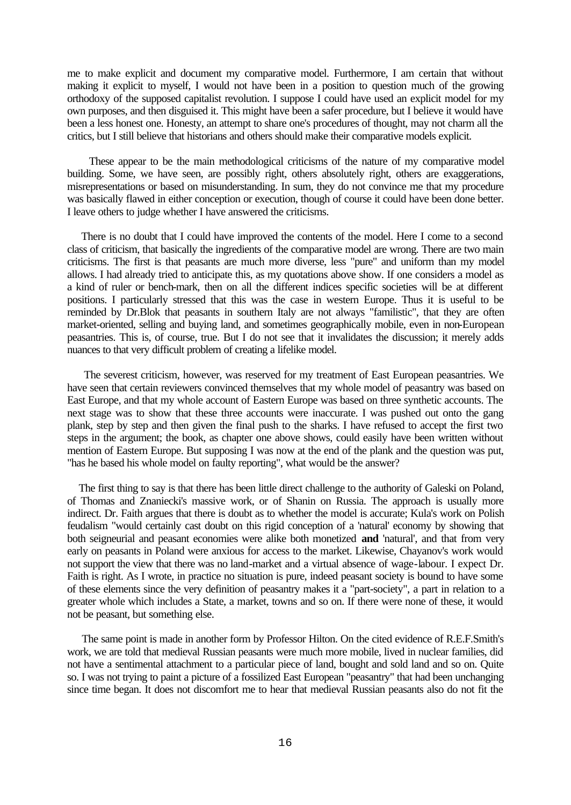me to make explicit and document my comparative model. Furthermore, I am certain that without making it explicit to myself, I would not have been in a position to question much of the growing orthodoxy of the supposed capitalist revolution. I suppose I could have used an explicit model for my own purposes, and then disguised it. This might have been a safer procedure, but I believe it would have been a less honest one. Honesty, an attempt to share one's procedures of thought, may not charm all the critics, but I still believe that historians and others should make their comparative models explicit.

 These appear to be the main methodological criticisms of the nature of my comparative model building. Some, we have seen, are possibly right, others absolutely right, others are exaggerations, misrepresentations or based on misunderstanding. In sum, they do not convince me that my procedure was basically flawed in either conception or execution, though of course it could have been done better. I leave others to judge whether I have answered the criticisms.

 There is no doubt that I could have improved the contents of the model. Here I come to a second class of criticism, that basically the ingredients of the comparative model are wrong. There are two main criticisms. The first is that peasants are much more diverse, less "pure" and uniform than my model allows. I had already tried to anticipate this, as my quotations above show. If one considers a model as a kind of ruler or bench-mark, then on all the different indices specific societies will be at different positions. I particularly stressed that this was the case in western Europe. Thus it is useful to be reminded by Dr.Blok that peasants in southern Italy are not always "familistic", that they are often market-oriented, selling and buying land, and sometimes geographically mobile, even in non-European peasantries. This is, of course, true. But I do not see that it invalidates the discussion; it merely adds nuances to that very difficult problem of creating a lifelike model.

 The severest criticism, however, was reserved for my treatment of East European peasantries. We have seen that certain reviewers convinced themselves that my whole model of peasantry was based on East Europe, and that my whole account of Eastern Europe was based on three synthetic accounts. The next stage was to show that these three accounts were inaccurate. I was pushed out onto the gang plank, step by step and then given the final push to the sharks. I have refused to accept the first two steps in the argument; the book, as chapter one above shows, could easily have been written without mention of Eastern Europe. But supposing I was now at the end of the plank and the question was put, "has he based his whole model on faulty reporting", what would be the answer?

 The first thing to say is that there has been little direct challenge to the authority of Galeski on Poland, of Thomas and Znaniecki's massive work, or of Shanin on Russia. The approach is usually more indirect. Dr. Faith argues that there is doubt as to whether the model is accurate; Kula's work on Polish feudalism "would certainly cast doubt on this rigid conception of a 'natural' economy by showing that both seigneurial and peasant economies were alike both monetized **and** 'natural', and that from very early on peasants in Poland were anxious for access to the market. Likewise, Chayanov's work would not support the view that there was no land-market and a virtual absence of wage-labour. I expect Dr. Faith is right. As I wrote, in practice no situation is pure, indeed peasant society is bound to have some of these elements since the very definition of peasantry makes it a "part-society", a part in relation to a greater whole which includes a State, a market, towns and so on. If there were none of these, it would not be peasant, but something else.

 The same point is made in another form by Professor Hilton. On the cited evidence of R.E.F.Smith's work, we are told that medieval Russian peasants were much more mobile, lived in nuclear families, did not have a sentimental attachment to a particular piece of land, bought and sold land and so on. Quite so. I was not trying to paint a picture of a fossilized East European "peasantry" that had been unchanging since time began. It does not discomfort me to hear that medieval Russian peasants also do not fit the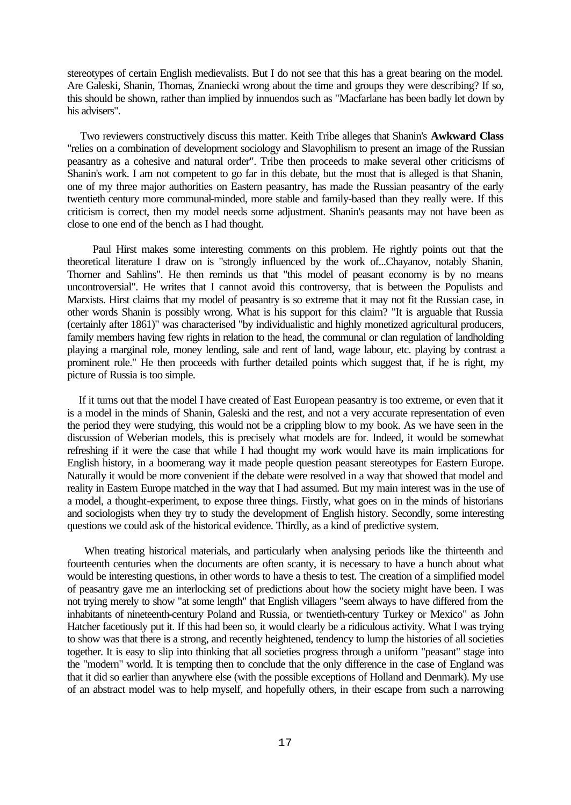stereotypes of certain English medievalists. But I do not see that this has a great bearing on the model. Are Galeski, Shanin, Thomas, Znaniecki wrong about the time and groups they were describing? If so, this should be shown, rather than implied by innuendos such as "Macfarlane has been badly let down by his advisers".

 Two reviewers constructively discuss this matter. Keith Tribe alleges that Shanin's **Awkward Class** "relies on a combination of development sociology and Slavophilism to present an image of the Russian peasantry as a cohesive and natural order". Tribe then proceeds to make several other criticisms of Shanin's work. I am not competent to go far in this debate, but the most that is alleged is that Shanin, one of my three major authorities on Eastern peasantry, has made the Russian peasantry of the early twentieth century more communal-minded, more stable and family-based than they really were. If this criticism is correct, then my model needs some adjustment. Shanin's peasants may not have been as close to one end of the bench as I had thought.

 Paul Hirst makes some interesting comments on this problem. He rightly points out that the theoretical literature I draw on is "strongly influenced by the work of...Chayanov, notably Shanin, Thorner and Sahlins". He then reminds us that "this model of peasant economy is by no means uncontroversial". He writes that I cannot avoid this controversy, that is between the Populists and Marxists. Hirst claims that my model of peasantry is so extreme that it may not fit the Russian case, in other words Shanin is possibly wrong. What is his support for this claim? "It is arguable that Russia (certainly after 1861)" was characterised "by individualistic and highly monetized agricultural producers, family members having few rights in relation to the head, the communal or clan regulation of landholding playing a marginal role, money lending, sale and rent of land, wage labour, etc. playing by contrast a prominent role." He then proceeds with further detailed points which suggest that, if he is right, my picture of Russia is too simple.

 If it turns out that the model I have created of East European peasantry is too extreme, or even that it is a model in the minds of Shanin, Galeski and the rest, and not a very accurate representation of even the period they were studying, this would not be a crippling blow to my book. As we have seen in the discussion of Weberian models, this is precisely what models are for. Indeed, it would be somewhat refreshing if it were the case that while I had thought my work would have its main implications for English history, in a boomerang way it made people question peasant stereotypes for Eastern Europe. Naturally it would be more convenient if the debate were resolved in a way that showed that model and reality in Eastern Europe matched in the way that I had assumed. But my main interest was in the use of a model, a thought-experiment, to expose three things. Firstly, what goes on in the minds of historians and sociologists when they try to study the development of English history. Secondly, some interesting questions we could ask of the historical evidence. Thirdly, as a kind of predictive system.

 When treating historical materials, and particularly when analysing periods like the thirteenth and fourteenth centuries when the documents are often scanty, it is necessary to have a hunch about what would be interesting questions, in other words to have a thesis to test. The creation of a simplified model of peasantry gave me an interlocking set of predictions about how the society might have been. I was not trying merely to show "at some length" that English villagers "seem always to have differed from the inhabitants of nineteenth-century Poland and Russia, or twentieth-century Turkey or Mexico" as John Hatcher facetiously put it. If this had been so, it would clearly be a ridiculous activity. What I was trying to show was that there is a strong, and recently heightened, tendency to lump the histories of all societies together. It is easy to slip into thinking that all societies progress through a uniform "peasant" stage into the "modern" world. It is tempting then to conclude that the only difference in the case of England was that it did so earlier than anywhere else (with the possible exceptions of Holland and Denmark). My use of an abstract model was to help myself, and hopefully others, in their escape from such a narrowing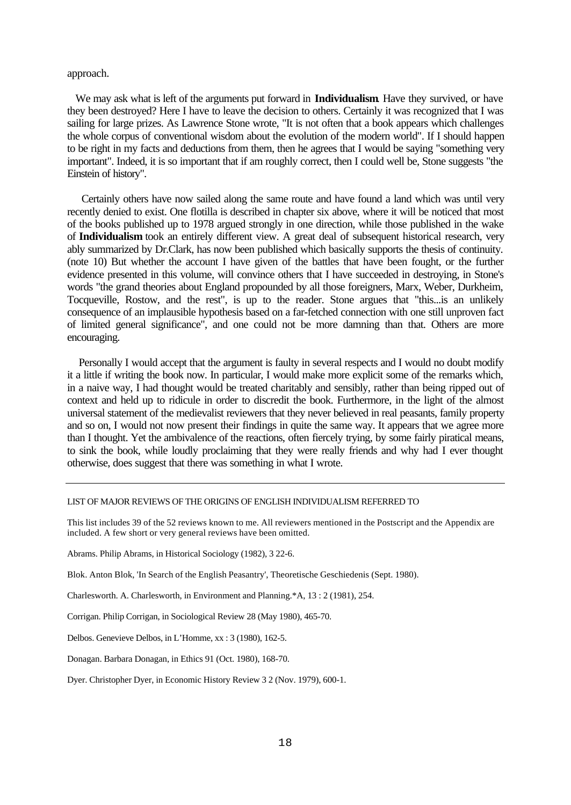# approach.

 We may ask what is left of the arguments put forward in **Individualism**. Have they survived, or have they been destroyed? Here I have to leave the decision to others. Certainly it was recognized that I was sailing for large prizes. As Lawrence Stone wrote, "It is not often that a book appears which challenges the whole corpus of conventional wisdom about the evolution of the modern world". If I should happen to be right in my facts and deductions from them, then he agrees that I would be saying "something very important". Indeed, it is so important that if am roughly correct, then I could well be, Stone suggests "the Einstein of history".

 Certainly others have now sailed along the same route and have found a land which was until very recently denied to exist. One flotilla is described in chapter six above, where it will be noticed that most of the books published up to 1978 argued strongly in one direction, while those published in the wake of **Individualism** took an entirely different view. A great deal of subsequent historical research, very ably summarized by Dr.Clark, has now been published which basically supports the thesis of continuity. (note 10) But whether the account I have given of the battles that have been fought, or the further evidence presented in this volume, will convince others that I have succeeded in destroying, in Stone's words "the grand theories about England propounded by all those foreigners, Marx, Weber, Durkheim, Tocqueville, Rostow, and the rest", is up to the reader. Stone argues that "this...is an unlikely consequence of an implausible hypothesis based on a far-fetched connection with one still unproven fact of limited general significance", and one could not be more damning than that. Others are more encouraging.

 Personally I would accept that the argument is faulty in several respects and I would no doubt modify it a little if writing the book now. In particular, I would make more explicit some of the remarks which, in a naive way, I had thought would be treated charitably and sensibly, rather than being ripped out of context and held up to ridicule in order to discredit the book. Furthermore, in the light of the almost universal statement of the medievalist reviewers that they never believed in real peasants, family property and so on, I would not now present their findings in quite the same way. It appears that we agree more than I thought. Yet the ambivalence of the reactions, often fiercely trying, by some fairly piratical means, to sink the book, while loudly proclaiming that they were really friends and why had I ever thought otherwise, does suggest that there was something in what I wrote.

#### LIST OF MAJOR REVIEWS OF THE ORIGINS OF ENGLISH INDIVIDUALISM REFERRED TO

This list includes 39 of the 52 reviews known to me. All reviewers mentioned in the Postscript and the Appendix are included. A few short or very general reviews have been omitted.

Abrams. Philip Abrams, in Historical Sociology (1982), 3 22-6.

Blok. Anton Blok, 'In Search of the English Peasantry', Theoretische Geschiedenis (Sept. 1980).

Charlesworth. A. Charlesworth, in Environment and Planning.\*A, 13 : 2 (1981), 254.

Corrigan. Philip Corrigan, in Sociological Review 28 (May 1980), 465-70.

Delbos. Genevieve Delbos, in L'Homme, xx : 3 (1980), 162-5.

Donagan. Barbara Donagan, in Ethics 91 (Oct. 1980), 168-70.

Dyer. Christopher Dyer, in Economic History Review 3 2 (Nov. 1979), 600-1.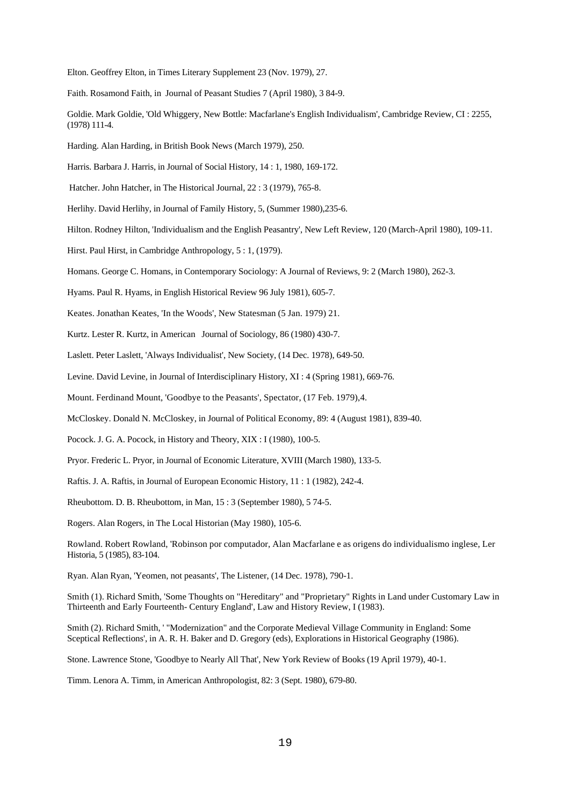Elton. Geoffrey Elton, in Times Literary Supplement 23 (Nov. 1979), 27.

Faith. Rosamond Faith, in Journal of Peasant Studies 7 (April 1980), 3 84-9.

Goldie. Mark Goldie, 'Old Whiggery, New Bottle: Macfarlane's English Individualism', Cambridge Review, CI : 2255, (1978) 111-4.

Harding. Alan Harding, in British Book News (March 1979), 250.

Harris. Barbara J. Harris, in Journal of Social History, 14 : 1, 1980, 169-172.

Hatcher. John Hatcher, in The Historical Journal, 22 : 3 (1979), 765-8.

Herlihy. David Herlihy, in Journal of Family History, 5, (Summer 1980),235-6.

Hilton. Rodney Hilton, 'Individualism and the English Peasantry', New Left Review, 120 (March-April 1980), 109-11.

Hirst. Paul Hirst, in Cambridge Anthropology, 5 : 1, (1979).

Homans. George C. Homans, in Contemporary Sociology: A Journal of Reviews, 9: 2 (March 1980), 262-3.

Hyams. Paul R. Hyams, in English Historical Review 96 July 1981), 605-7.

Keates. Jonathan Keates, 'In the Woods', New Statesman (5 Jan. 1979) 21.

Kurtz. Lester R. Kurtz, in American Journal of Sociology, 86 (1980) 430-7.

Laslett. Peter Laslett, 'Always Individualist', New Society, (14 Dec. 1978), 649-50.

Levine. David Levine, in Journal of Interdisciplinary History, XI : 4 (Spring 1981), 669-76.

Mount. Ferdinand Mount, 'Goodbye to the Peasants', Spectator, (17 Feb. 1979),4.

McCloskey. Donald N. McCloskey, in Journal of Political Economy, 89: 4 (August 1981), 839-40.

Pocock. J. G. A. Pocock, in History and Theory, XIX : I (1980), 100-5.

Pryor. Frederic L. Pryor, in Journal of Economic Literature, XVIII (March 1980), 133-5.

Raftis. J. A. Raftis, in Journal of European Economic History, 11 : 1 (1982), 242-4.

Rheubottom. D. B. Rheubottom, in Man, 15 : 3 (September 1980), 5 74-5.

Rogers. Alan Rogers, in The Local Historian (May 1980), 105-6.

Rowland. Robert Rowland, 'Robinson por computador, Alan Macfarlane e as origens do individualismo inglese, Ler Historia, 5 (1985), 83-104.

Ryan. Alan Ryan, 'Yeomen, not peasants', The Listener, (14 Dec. 1978), 790-1.

Smith (1). Richard Smith, 'Some Thoughts on "Hereditary" and "Proprietary" Rights in Land under Customary Law in Thirteenth and Early Fourteenth- Century England', Law and History Review, I (1983).

Smith (2). Richard Smith, ' "Modernization" and the Corporate Medieval Village Community in England: Some Sceptical Reflections', in A. R. H. Baker and D. Gregory (eds), Explorations in Historical Geography (1986).

Stone. Lawrence Stone, 'Goodbye to Nearly All That', New York Review of Books (19 April 1979), 40-1.

Timm. Lenora A. Timm, in American Anthropologist, 82: 3 (Sept. 1980), 679-80.